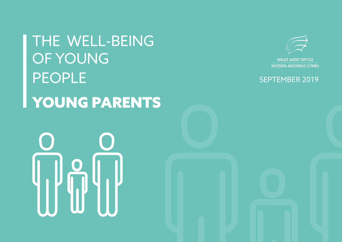THE WELL-BEING OF YOUNG PEOPLE YOUNG PARENTS



**WALES AUDIT OFFICE** SWYDDFA ARCHWILIO CYMRU

## SEPTEMBER 2019

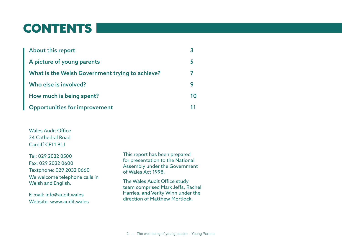## CONTENTS

| <b>About this report</b>                        |     |
|-------------------------------------------------|-----|
| A picture of young parents                      | 5   |
| What is the Welsh Government trying to achieve? |     |
| Who else is involved?                           |     |
| How much is being spent?                        | 1 N |
| <b>Opportunities for improvement</b>            |     |

Wales Audit Office 24 Cathedral Road Cardiff CF11 9LJ

Tel: 029 2032 0500 Fax: 029 2032 0600 Textphone: 029 2032 0660 We welcome telephone calls in Welsh and English.

E-mail: info@audit.wales Website: www.audit.wales This report has been prepared for presentation to the National Assembly under the Government of Wales Act 1998.

The Wales Audit Office study team comprised Mark Jeffs, Rachel Harries, and Verity Winn under the direction of Matthew Mortlock.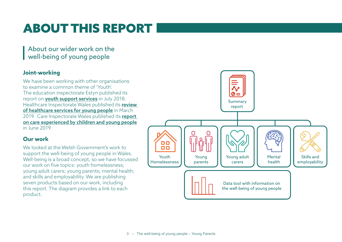# ABOUT THIS REPORT

About our wider work on the well-being of young people

### **Joint-working**

We have been working with other organisations to examine a common theme of 'Youth'. The education inspectorate Estyn published its report on **[youth support services](https://www.estyn.gov.wales/thematic-reports/youth-support-services-wales)** in July 2018. Healthcare Inspectorate Wales published its review [of healthcare services for young people](https://hiw.org.uk/hiw-publishes-review-healthcare-services-young-people) in March 2019. Care Inspectorate Wales published its report [on care experienced by children and young people](https://careinspectorate.wales/sites/default/files/2019-06/190619-national-overview-report-en_2.pdf) in June 2019.

## **Our work**

We looked at the Welsh Government's work to support the well-being of young people in Wales. Well-being is a broad concept, so we have focussed our work on five topics: youth homelessness; young adult carers; young parents; mental health; and skills and employability. We are publishing seven products based on our work, including this report. The diagram provides a link to each product.

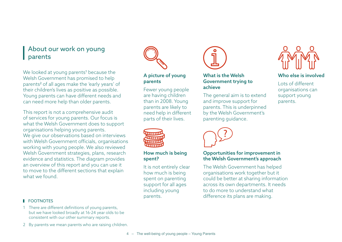## About our work on young parents

We looked at young parents<sup>1</sup> because the Welsh Government has promised to help parents<sup>2</sup> of all ages make the 'early years' of their children's lives as positive as possible. Young parents can have different needs and can need more help than older parents.

This report is not a comprehensive audit of services for young parents. Our focus is what the Welsh Government does to support organisations helping young parents. We give our observations based on interviews with Welsh Government officials, organisations working with young people. We also reviewed Welsh Government strategies, plans, research evidence and statistics. The diagram provides an overview of this report and you can use it to move to the different sections that explain what we found

#### **FOOTNOTES**

- 1 There are different definitions of young parents, but we have looked broadly at 16-24 year olds to be consistent with our other summary reports.
- 2 By parents we mean parents who are raising children.



### [A picture of young](#page-4-0)  [parents](#page-4-0)

[Fewer young people](#page-4-0)  [are having children](#page-4-0)  [than in 2008. Young](#page-4-0)  [parents are likely to](#page-4-0)  [need help in different](#page-4-0)  [parts of their lives.](#page-4-0)



#### [How much is being](#page-9-0)  [spent?](#page-9-0)

[It is not entirely clear](#page-9-0)  [how much is being](#page-9-0)  [spent on parenting](#page-9-0)  [support for all ages](#page-9-0)  [including young](#page-9-0)  [parents.](#page-9-0)



### [What is the Welsh](#page-6-0)  [Government trying to](#page-6-0)  [achieve](#page-6-0)

[The general aim is to extend](#page-6-0)  [and improve support for](#page-6-0)  [parents. This is underpinned](#page-6-0)  [by the Welsh Government's](#page-6-0)  [parenting guidance.](#page-6-0)



#### [Opportunities for improvement in](#page-10-0)  [the Welsh Government's approach](#page-10-0)

[The Welsh Government has helped](#page-10-0)  [organisations work together but it](#page-10-0)  [could be better at sharing information](#page-10-0)  [across its own departments. It needs](#page-10-0)  [to do more to understand what](#page-10-0)  [difference its plans are making.](#page-10-0)



### [Who else is involved](#page-8-0)

[Lots of different](#page-8-0)  [organisations can](#page-8-0)  [support young](#page-8-0)  [parents.](#page-8-0)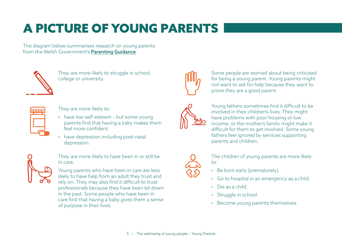# <span id="page-4-0"></span>A PICTURE OF YOUNG PARENTS

The diagram below summarises research on young parents from the Welsh Government's [Parenting Guidance](https://gweddill.gov.wales/docs/dsjlg/publications/cyp/170519-parenting-in-wales-guidance-en.pdf):



They are more likely to struggle in school, college or university.



They are more likely to:

- have low self-esteem but some young parents find that having a baby makes them feel more confident.
- have depression including post-natal depression.



They are more likely to have been in or still be in care.

Young parents who have been in care are less likely to have help from an adult they trust and rely on. They may also find it difficult to trust professionals because they have been let down in the past. Some people who have been in care find that having a baby gives them a sense of purpose in their lives.



Some people are worried about being criticised for being a young parent. Young parents might not want to ask for help because they want to prove they are a good parent.



Young fathers sometimes find it difficult to be involved in their children's lives. They might have problems with poor housing or low income, or the mother's family might make it difficult for them to get involved. Some young fathers feel ignored by services supporting parents and children.



The children of young parents are more likely to:

- Be born early (prematurely).
- Go to hospital in an emergency as a child.
- Die as a child.
- Struggle in school.
- Become young parents themselves.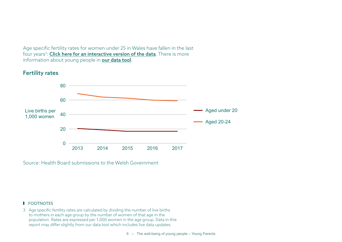Age specific fertility rates for women under 25 in Wales have fallen in the last four years<sup>3</sup>: <mark>[Click here for an interactive version of the data](https://app.powerbi.com/view?r=eyJrIjoiMWY0N2UwYjgtMDczZS00ZTE5LWIzNTYtZWY0MTAxZGU1ZjA4IiwidCI6ImRmZDY5MmYwLTE2YmYtNDQ0OS04OGUzLWU3NzM1ZGZjY2ZlOCIsImMiOjh9)</mark>. There is more information about young people in **[our data tool](https://app.powerbi.com/view?r=eyJrIjoiOTU0YzA3ZmEtNzBmZi00OTgwLWI5MjktNGUyOWRmMDNkYzI4IiwidCI6ImRmZDY5MmYwLTE2YmYtNDQ0OS04OGUzLWU3NzM1ZGZjY2ZlOCIsImMiOjh9)**.

### Fertility rates



Source: Health Board submissions to the Welsh Government

#### **FOOTNOTES**

3 Age specific fertility rates are calculated by dividing the number of live births to mothers in each age group by the number of women of that age in the population. Rates are expressed per 1,000 women in the age group. Data in this report may differ slightly from our data tool which includes live data updates.

6 – The well-being of young people – Young Parents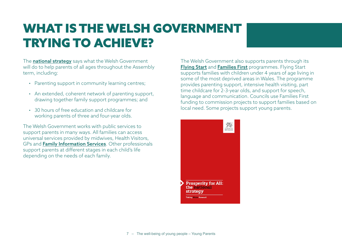## <span id="page-6-0"></span>WHAT IS THE WELSH GOVERNMENT TRYING TO ACHIEVE?

The **[national strategy](https://gweddill.gov.wales/docs/strategies/170919-prosperity-for-all-en.pdf)** says what the Welsh Government will do to help parents of all ages throughout the Assembly term, including:

- Parenting support in community learning centres;
- An extended, coherent network of parenting support, drawing together family support programmes; and
- 30 hours of free education and childcare for working parents of three and four-year olds.

The Welsh Government works with public services to support parents in many ways. All families can access universal services provided by midwives, Health Visitors, GPs and [Family Information Services](https://gov.wales/find-your-local-family-information-service). Other professionals support parents at different stages in each child's life depending on the needs of each family.

The Welsh Government also supports parents through its [Flying Start](https://gov.wales/get-help-flying-start) and [Families First](https://gov.wales/families-first) programmes. Flying Start supports families with children under 4 years of age living in some of the most deprived areas in Wales. The programme provides parenting support, intensive health visiting, part time childcare for 2-3-year olds, and support for speech, language and communication. Councils use Families First funding to commission projects to support families based on local need. Some projects support young parents.

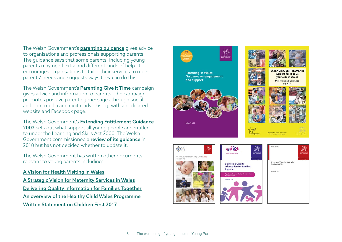The Welsh Government's **parenting quidance** gives advice to organisations and professionals supporting parents. The guidance says that some parents, including young parents may need extra and different kinds of help. It encourages organisations to tailor their services to meet parents' needs and suggests ways they can do this.

The Welsh Government's **[Parenting Give it Time](https://gov.wales/parenting-give-it-time)** campaign gives advice and information to parents. The campaign promotes positive parenting messages through social and print media and digital advertising, with a dedicated website and Facebook page.

The Welsh Government's [Extending Entitlement Guidance](https://gov.wales/sites/default/files/publications/2018-02/direction-and-guidance-extending-entitlement-support-for-11-to-25-year-olds-in-wales.pdf)  [2002](https://gov.wales/sites/default/files/publications/2018-02/direction-and-guidance-extending-entitlement-support-for-11-to-25-year-olds-in-wales.pdf) sets out what support all young people are entitled to under the Learning and Skills Act 2000. The Welsh Government commissioned a [review of its guidance](https://gov.wales/sites/default/files/publications/2018-04/180316-our-future-a-review-of-extending-entitlement_0.pdf) in 2018 but has not decided whether to update it.

The Welsh Government has written other documents relevant to young parents including:

[A Vision for Health Visiting in Wales](https://gweddill.gov.wales/topics/health/professionals/nursing/early/?lang=en) [A Strategic Vision for Maternity Services in Wales](http://www.wales.nhs.uk/documents/A%20Strategic%20Vision%20for%20Maternity%20Services%20in%20Wales%20-%20September%202011.pdf) [Delivering Quality Information for Families Together](https://gweddill.gov.wales/docs/dsjlg/publications/cyp/141002-delivering-quality-information-for-families-en.pdf) [An overview of the Healthy Child Wales Programme](https://gweddill.gov.wales/docs/dhss/publications/160926healthy-childrenen.pdf) [Written Statement on Children First 2017](https://gov.wales/written-statement-children-first)

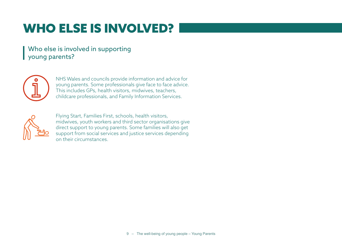# <span id="page-8-0"></span>WHO ELSE IS INVOLVED?

## Who else is involved in supporting young parents?



NHS Wales and councils provide information and advice for young parents. Some professionals give face to face advice. This includes GPs, health visitors, midwives, teachers, childcare professionals, and Family Information Services.



Flying Start, Families First, schools, health visitors, midwives, youth workers and third sector organisations give direct support to young parents. Some families will also get support from social services and justice services depending on their circumstances.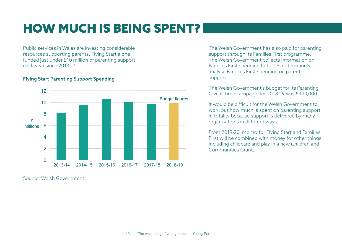# <span id="page-9-0"></span>HOW MUCH IS BEING SPENT?

Public services in Wales are investing considerable resources supporting parents. Flying Start alone funded just under £10 million of parenting support each year since 2013-14.

#### Flying Start Parenting Support Spending



Source: Welsh Government

The Welsh Government has also paid for parenting support through its Families First programme. The Welsh Government collects information on Families First spending but does not routinely analyse Families First spending on parenting support.

The Welsh Government's budget for its Parenting Give it Time campaign for 2018-19 was £340,000.

It would be difficult for the Welsh Government to work out how much is spent on parenting support in totality because support is delivered by many organisations in different ways.

From 2019-20, money for Flying Start and Families First will be combined with money for other things including childcare and play in a new Children and Communities Grant.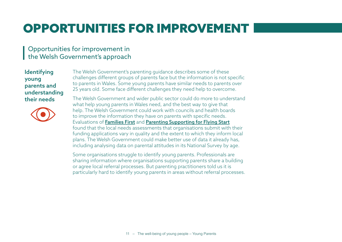# <span id="page-10-0"></span>OPPORTUNITIES FOR IMPROVEMENT

## Opportunities for improvement in the Welsh Government's approach

## Identifying young parents and understanding their needs



The Welsh Government's parenting guidance describes some of these challenges different groups of parents face but the information is not specific to parents in Wales. Some young parents have similar needs to parents over 25 years old. Some face different challenges they need help to overcome.

The Welsh Government and wider public sector could do more to understand what help young parents in Wales need, and the best way to give that help. The Welsh Government could work with councils and health boards to improve the information they have on parents with specific needs. Evaluations of [Families First](https://gweddill.gov.wales/docs/caecd/research/2015/150930-evaluation-families-first-year-3-en.pdf) and [Parenting Supporting for Flying Start](https://gweddill.gov.wales/docs/caecd/research/130529-review-parenting-support-flying-start-en.pdf) found that the local needs assessments that organisations submit with their funding applications vary in quality and the extent to which they inform local plans. The Welsh Government could make better use of data it already has, including analysing data on parental attitudes in its National Survey by age.

Some organisations struggle to identify young parents. Professionals are sharing information where organisations supporting parents share a building or agree local referral processes. But parenting practitioners told us it is particularly hard to identify young parents in areas without referral processes.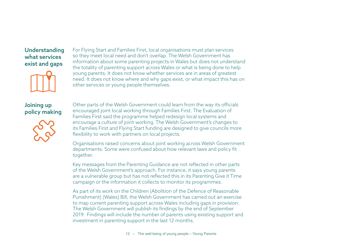### Understanding what services exist and gaps



For Flying Start and Families First, local organisations must plan services so they meet local need and don't overlap. The Welsh Government has information about some parenting projects in Wales but does not understand the totality of parenting support across Wales or what is being done to help young parents. It does not know whether services are in areas of greatest need. It does not know where and why gaps exist, or what impact this has on other services or young people themselves.

## Joining up policy making



Other parts of the Welsh Government could learn from the way its officials encouraged joint local working through Families First. The Evaluation of Families First said the programme helped redesign local systems and encourage a culture of joint working. The Welsh Government's changes to its Families First and Flying Start funding are designed to give councils more flexibility to work with partners on local projects.

Organisations raised concerns about joint working across Welsh Government departments. Some were confused about how relevant laws and policy fit together.

Key messages from the Parenting Guidance are not reflected in other parts of the Welsh Government's approach. For instance, it says young parents are a vulnerable group but has not reflected this in its Parenting Give it Time campaign or the information it collects to monitor its programmes.

As part of its work on the Children (Abolition of the Defence of Reasonable Punishment) (Wales) Bill, the Welsh Government has carried out an exercise to map current parenting support across Wales including gaps in provision. The Welsh Government will publish its findings by the end of September 2019. Findings will include the number of parents using existing support and investment in parenting support in the last 12 months.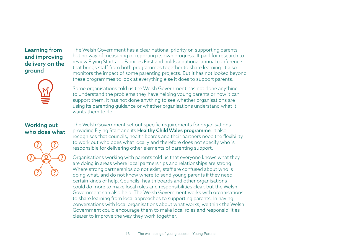### Learning from and improving delivery on the ground



#### The Welsh Government has a clear national priority on supporting parents but no way of measuring or reporting its own progress. It paid for research to review Flying Start and Families First and holds a national annual conference that brings staff from both programmes together to share learning. It also monitors the impact of some parenting projects. But it has not looked beyond these programmes to look at everything else it does to support parents.

Some organisations told us the Welsh Government has not done anything to understand the problems they have helping young parents or how it can support them. It has not done anything to see whether organisations are using its parenting guidance or whether organisations understand what it wants them to do.

### Working out who does what



The Welsh Government set out specific requirements for organisations providing Flying Start and its [Healthy Child Wales programme](https://gweddill.gov.wales/docs/dhss/publications/160926healthy-childrenen.pdf). It also recognises that councils, health boards and their partners need the flexibility to work out who does what locally and therefore does not specify who is responsible for delivering other elements of parenting support.

Organisations working with parents told us that everyone knows what they are doing in areas where local partnerships and relationships are strong. Where strong partnerships do not exist, staff are confused about who is doing what, and do not know where to send young parents if they need certain kinds of help. Councils, health boards and other organisations could do more to make local roles and responsibilities clear, but the Welsh Government can also help. The Welsh Government works with organisations to share learning from local approaches to supporting parents. In having conversations with local organisations about what works, we think the Welsh Government could encourage them to make local roles and responsibilities clearer to improve the way they work together.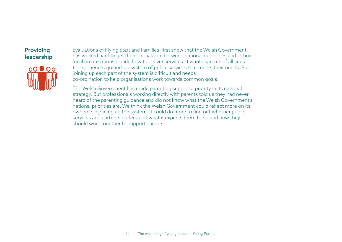## Providing leadership



Evaluations of Flying Start and Families First show that the Welsh Government has worked hard to get the right balance between national guidelines and letting local organisations decide how to deliver services. It wants parents of all ages to experience a joined-up system of public services that meets their needs. But joining up each part of the system is difficult and needs co-ordination to help organisations work towards common goals.

The Welsh Government has made parenting support a priority in its national strategy. But professionals working directly with parents told us they had never heard of the parenting guidance and did not know what the Welsh Government's national priorities are. We think the Welsh Government could reflect more on its own role in joining up the system. It could do more to find out whether public services and partners understand what it expects them to do and how they should work together to support parents.